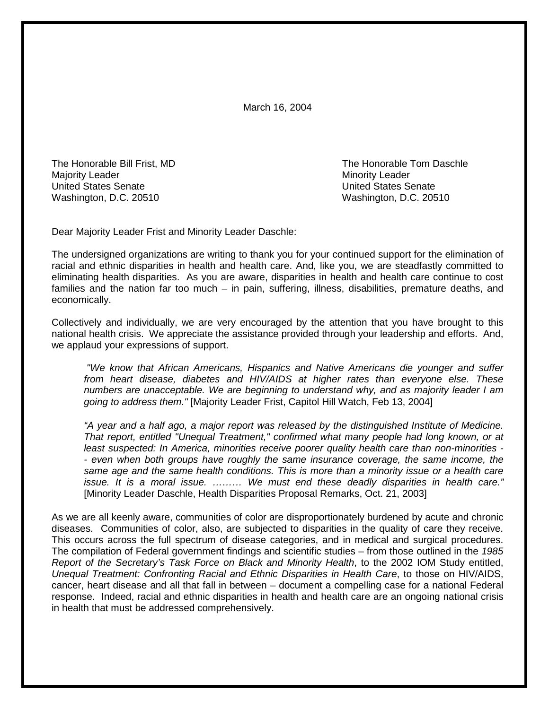March 16, 2004

The Honorable Bill Frist, MD The Honorable Tom Daschle Majority Leader National According to the Minority Leader National According to Minority Leader United States Senate United States Senate Washington, D.C. 20510 Washington, D.C. 20510

Dear Majority Leader Frist and Minority Leader Daschle:

The undersigned organizations are writing to thank you for your continued support for the elimination of racial and ethnic disparities in health and health care. And, like you, we are steadfastly committed to eliminating health disparities. As you are aware, disparities in health and health care continue to cost families and the nation far too much – in pain, suffering, illness, disabilities, premature deaths, and economically.

Collectively and individually, we are very encouraged by the attention that you have brought to this national health crisis. We appreciate the assistance provided through your leadership and efforts. And, we applaud your expressions of support.

 *"We know that African Americans, Hispanics and Native Americans die younger and suffer from heart disease, diabetes and HIV/AIDS at higher rates than everyone else. These numbers are unacceptable. We are beginning to understand why, and as majority leader I am going to address them."* [Majority Leader Frist, Capitol Hill Watch, Feb 13, 2004]

 *"A year and a half ago, a major report was released by the distinguished Institute of Medicine. That report, entitled "Unequal Treatment," confirmed what many people had long known, or at least suspected: In America, minorities receive poorer quality health care than non-minorities - - even when both groups have roughly the same insurance coverage, the same income, the same age and the same health conditions. This is more than a minority issue or a health care issue. It is a moral issue. ……… We must end these deadly disparities in health care."*  [Minority Leader Daschle, Health Disparities Proposal Remarks, Oct. 21, 2003]

As we are all keenly aware, communities of color are disproportionately burdened by acute and chronic diseases. Communities of color, also, are subjected to disparities in the quality of care they receive. This occurs across the full spectrum of disease categories, and in medical and surgical procedures. The compilation of Federal government findings and scientific studies – from those outlined in the *1985 Report of the Secretary's Task Force on Black and Minority Health*, to the 2002 IOM Study entitled, *Unequal Treatment: Confronting Racial and Ethnic Disparities in Health Care*, to those on HIV/AIDS, cancer, heart disease and all that fall in between – document a compelling case for a national Federal response. Indeed, racial and ethnic disparities in health and health care are an ongoing national crisis in health that must be addressed comprehensively.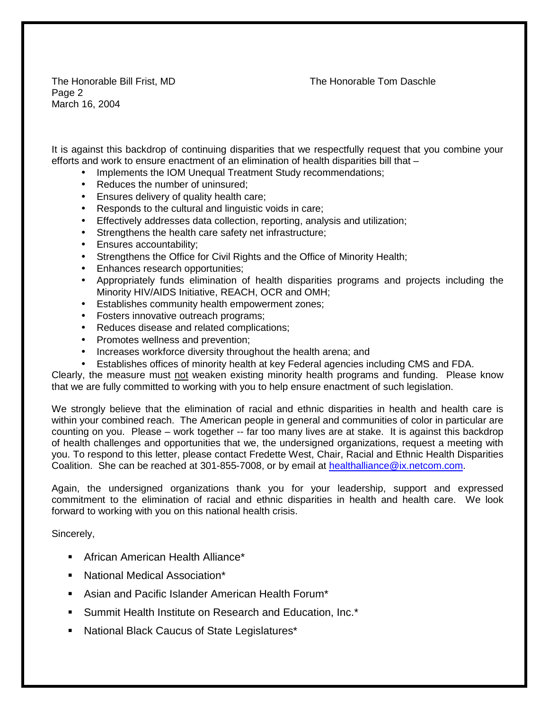The Honorable Bill Frist, MD The Honorable Tom Daschle

Page 2 March 16, 2004

It is against this backdrop of continuing disparities that we respectfully request that you combine your efforts and work to ensure enactment of an elimination of health disparities bill that –

- Implements the IOM Unequal Treatment Study recommendations;
- Reduces the number of uninsured:
- Ensures delivery of quality health care;
- Responds to the cultural and linguistic voids in care;
- Effectively addresses data collection, reporting, analysis and utilization;
- Strengthens the health care safety net infrastructure;
- Ensures accountability;
- Strengthens the Office for Civil Rights and the Office of Minority Health;
- Enhances research opportunities;
- Appropriately funds elimination of health disparities programs and projects including the Minority HIV/AIDS Initiative, REACH, OCR and OMH;
- Establishes community health empowerment zones;
- Fosters innovative outreach programs;
- Reduces disease and related complications;
- Promotes wellness and prevention;
- Increases workforce diversity throughout the health arena; and
- Establishes offices of minority health at key Federal agencies including CMS and FDA.

Clearly, the measure must not weaken existing minority health programs and funding. Please know that we are fully committed to working with you to help ensure enactment of such legislation.

We strongly believe that the elimination of racial and ethnic disparities in health and health care is within your combined reach. The American people in general and communities of color in particular are counting on you. Please – work together -- far too many lives are at stake. It is against this backdrop of health challenges and opportunities that we, the undersigned organizations, request a meeting with you. To respond to this letter, please contact Fredette West, Chair, Racial and Ethnic Health Disparities Coalition. She can be reached at 301-855-7008, or by email at [healthalliance@ix.netcom.com.](mailto:healthalliance@ix.netcom.com)

Again, the undersigned organizations thank you for your leadership, support and expressed commitment to the elimination of racial and ethnic disparities in health and health care. We look forward to working with you on this national health crisis.

Sincerely,

- ! African American Health Alliance\*
- ! National Medical Association\*
- ! Asian and Pacific Islander American Health Forum\*
- **E.** Summit Health Institute on Research and Education, Inc.\*
- ! National Black Caucus of State Legislatures\*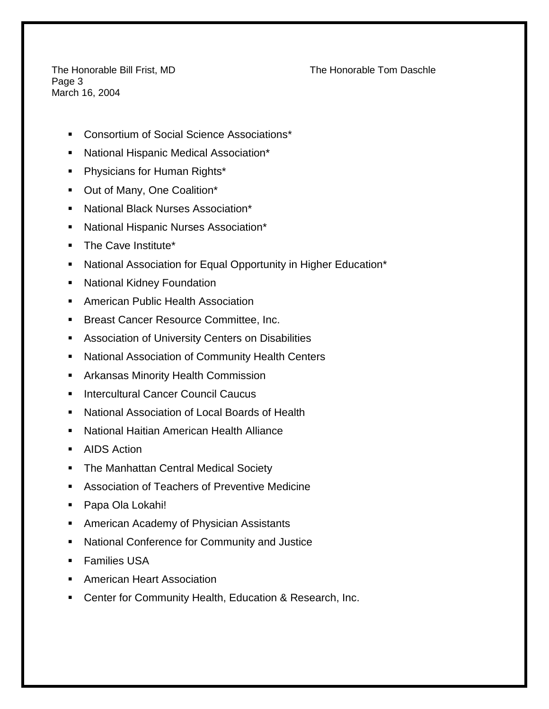Page 3 March 16, 2004

The Honorable Bill Frist, MD The Honorable Tom Daschle

- ! Consortium of Social Science Associations\*
- ! National Hispanic Medical Association\*
- ! Physicians for Human Rights\*
- ! Out of Many, One Coalition\*
- ! National Black Nurses Association\*
- ! National Hispanic Nurses Association\*
- **The Cave Institute\***
- ! National Association for Equal Opportunity in Higher Education\*
- **E** National Kidney Foundation
- **E.** American Public Health Association
- ! Breast Cancer Resource Committee, Inc.
- **EXEC** Association of University Centers on Disabilities
- ! National Association of Community Health Centers
- **EXEDENT Arkansas Minority Health Commission**
- **E** Intercultural Cancer Council Caucus
- ! National Association of Local Boards of Health
- ! National Haitian American Health Alliance
- AIDS Action
- **The Manhattan Central Medical Society**
- ! Association of Teachers of Preventive Medicine
- ! Papa Ola Lokahi!
- ! American Academy of Physician Assistants
- ! National Conference for Community and Justice
- **Examilies USA**
- **EXEC** American Heart Association
- ! Center for Community Health, Education & Research, Inc.